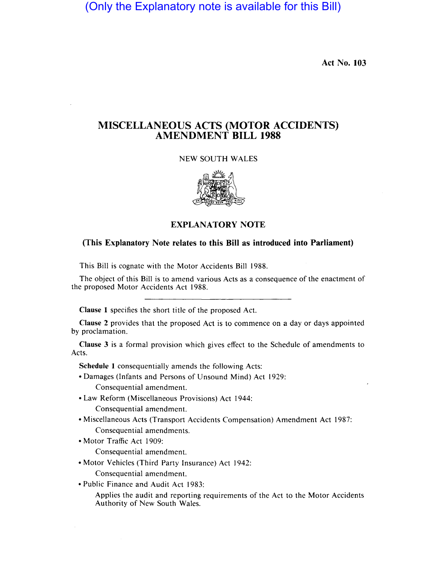(Only the Explanatory note is available for this Bill)

Act No. 103

## MISCELLANEOUS ACTS **(MOTOR** ACCIDENTS) AMENDMENT **BILL 1988**

NEW SOUTH WALES



EXPLANATORY NOTE

## (This Explanatory Note relates to this **Bill** as introduced into Parliament)

This Bill is cognate with the Motor Accidents Bill 1988.

The object of this Bill is to amend various Acts as a consequence of the enactment of the proposed Motor Accidents Act 1988.

Clause 1 specifies the short title of the proposed Act.

Clause 2 provides that the proposed Act is to commence on a day or days appointed by proclamation.

Clause 3 is a formal provision which gives effect to the Schedule of amendments to Acts.

Schedule 1 consequentially amends the following Acts:

- Damages (Infants and Persons of Unsound Mind) Act 1929: Consequential amendment.
- Law Reform (Miscellaneous Provisions) Act 1944:

Consequential amendment.

- Miscellaneous Acts (Transport Accidents Compensation) Amendment Act 1987: Consequential amendments.
- Motor Traffic Act 1909:

Consequential amendment.

- Motor Vehicles (Third Party Insurance) Act 1942: Consequential amendment.
- Public Finance and Audit Act 1983:

Applies the audit and reporting requirements of the Act to the Motor Accidents Authority of New South Wales.